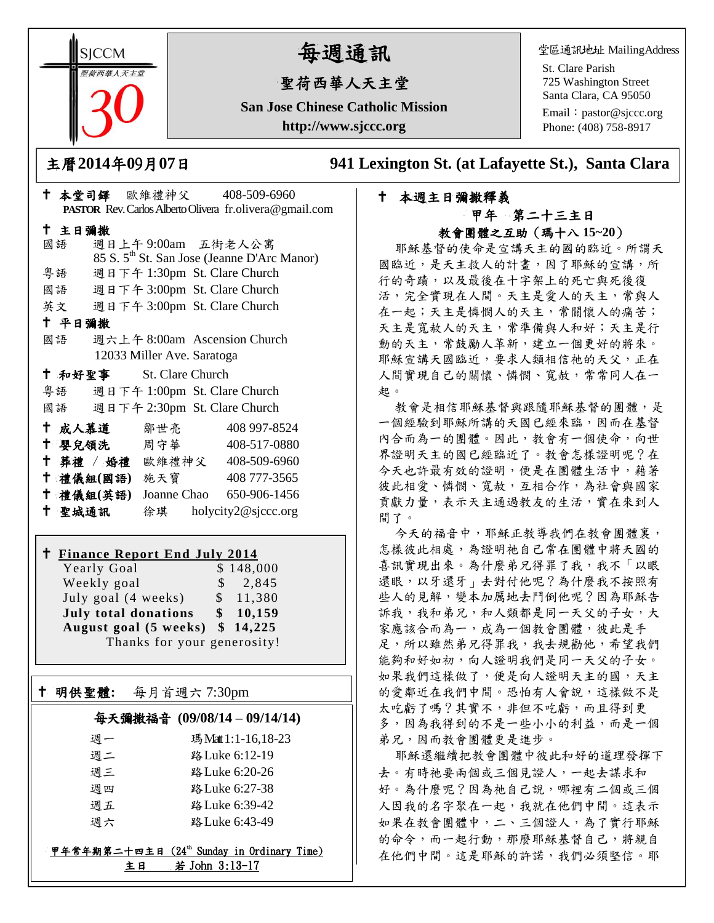**SICCM** 智荷西華人天主堂

# 每週通訊

## 聖荷西華人天主堂

**San Jose Chinese Catholic Mission http://www.sjccc.org**

堂區通訊地址 MailingAddress

St. Clare Parish 725 Washington Street Santa Clara, CA 95050

Email: [pastor@sjccc.org](mailto:pastor@sjccc.org) Phone: (408) 758-8917

主曆**2014**年**0**9月**07**日 **941 Lexington St. (at Lafayette St.), Santa Clara** 

### 本週主日彌撒釋義 甲年 第二十三主日 教會團體之互助(瑪十八 **15~20**)

耶穌基督的使命是宣講天主的國的臨近。所謂天 國臨近,是天主救人的計書,因了耶穌的宣講,所 行的奇蹟,以及最後在十字架上的死亡與死後復 活,完全實現在人間。天主是愛人的天主,常與人 在一起;天主是憐憫人的天主,常關懷人的痛苦; 天主是寬赦人的天主,常準備與人和好;天主是行 動的天主,常鼓勵人革新,建立一個更好的將來。 耶穌宣講天國臨近,要求人類相信祂的天父,正在 人間實現自己的關懷、憐憫、寬赦,常常同人在一 起。

教會是相信耶穌基督與跟隨耶穌基督的團體,是 一個經驗到耶穌所講的天國已經來臨,因而在基督 內合而為一的團體。因此,教會有一個使命,向世 界證明天主的國已經臨近了。教會怎樣證明呢?在 今天也許最有效的證明,便是在團體生活中,藉著 彼此相愛、憐憫、寬赦,互相合作,為社會與國家 貢獻力量,表示天主通過教友的生活,實在來到人 間了。

今天的福音中,耶穌正教導我們在教會團體裏, 怎樣彼此相處,為證明祂自己常在團體中將天國的 喜訊實現出來。為什麼弟兄得罪了我,我不「以眼 還眼,以牙還牙」去對付他呢?為什麼我不按照有 些人的見解,變本加厲地去鬥倒他呢?因為耶穌告 訴我,我和弟兄,和人類都是同一天父的子女,大 家應該合而為一,成為一個教會團體,彼此是手 足,所以雖然弟兄得罪我,我去規勸他,希望我們 能夠和好如初,向人證明我們是同一天父的子女。 如果我們這樣做了,便是向人證明天主的國,天主 的愛鄰近在我們中間。恐怕有人會說,這樣做不是 太吃虧了嗎?其實不,非但不吃虧,而且得到更 多,因為我得到的不是一些小小的利益,而是一個 弟兄,因而教會團體更是進步。

耶穌還繼續把教會團體中彼此和好的道理發揮下 去。有時祂要兩個或三個見證人,一起去謀求和 好。為什麼呢?因為祂自己說,哪裡有二個或三個 人因我的名字聚在一起,我就在他們中間。這表示 如果在教會團體中,二、三個證人,為了實行耶穌 的命令,而一起行動,那麼耶穌基督自己,將親自 在他們中間。這是耶穌的許諾,我們必須堅信。耶

| <b>PASTOR</b> Rev. Carlos Alberto Olivera fr. olivera@gmail.com |                              |                                                         |
|-----------------------------------------------------------------|------------------------------|---------------------------------------------------------|
| 十 主日彌撒                                                          |                              |                                                         |
| 國語                                                              | 週日上午9:00am 五街老人公寓            |                                                         |
|                                                                 |                              | 85 S. 5 <sup>th</sup> St. San Jose (Jeanne D'Arc Manor) |
| 粤語                                                              | 週日下午 1:30pm St. Clare Church |                                                         |
| 國語 週日下午 3:00pm St. Clare Church                                 |                              |                                                         |
| 英文 週日下午 3:00pm St. Clare Church                                 |                              |                                                         |
| 十 平日彌撒                                                          |                              |                                                         |
| 國語                                                              | 週六上午 8:00am Ascension Church |                                                         |
| 12033 Miller Ave. Saratoga                                      |                              |                                                         |
| + 和好聖事 St. Clare Church                                         |                              |                                                         |
| 粤語 週日下午 1:00pm St. Clare Church                                 |                              |                                                         |
| 國語 週日下午 2:30pm St. Clare Church                                 |                              |                                                         |
| † 成人慕道   鄒世亮                                                    |                              | 408 997-8524                                            |
| † 嬰兒領洗 周守華 408-517-0880                                         |                              |                                                         |
| ↑ 葬禮 / 婚禮 歐維禮神父 408-509-6960                                    |                              |                                                         |
| 十禮儀組(國語) 施天寶                                                    |                              | 408 777-3565                                            |
| 十 禮儀組(英語)                                                       |                              | Joanne Chao 650-906-1456                                |
| 十 聖城通訊                                                          |                              | 徐琪 holycity2@sjccc.org                                  |

本堂司鐸 歐維禮神父 408-509-6960

#### **Finance Report End July 2014**

Yearly Goal  $$148,000$ <br>Weekly goal  $$2,845$ Weekly goal \$ July goal (4 weeks) \$ 11,380 **July total donations \$ 10,159 August goal (5 weeks) \$ 14,225** Thanks for your generosity!

#### 明供聖體**:** 每月首週六 7:30pm

Ξ

#### 每天彌撒福音 **(09/08/14 – 09/14/14)**

| 週一 | 瑪 Matt 1:1-16,18-23 |
|----|---------------------|
| 週二 | 路 Luke 6:12-19      |
| 调三 | 路 Luke 6:20-26      |
| 调四 | 路 Luke 6:27-38      |
| 调五 | 路 Luke 6:39-42      |
| 调六 | 路 Luke 6:43-49      |

#### 甲年常年期第二十四主日 (24th Sunday in Ordinary Time) 主日 若 John 3:13-17